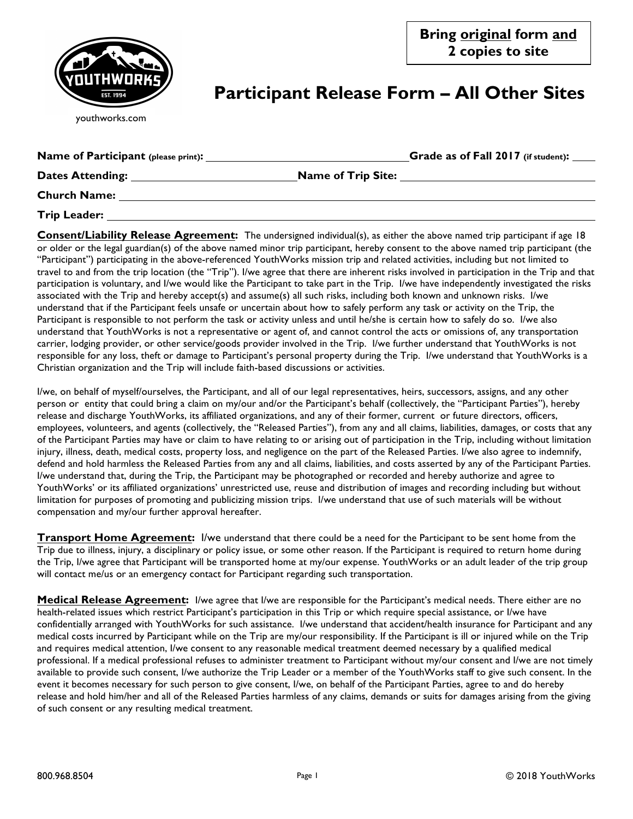

## **Participant Release Form – All Other Sites**

| youthworks.com |  |
|----------------|--|
|----------------|--|

| <b>Name of Participant (please print):</b> |                           | Grade as of Fall 2017 (if student): |
|--------------------------------------------|---------------------------|-------------------------------------|
| <b>Dates Attending:</b>                    | <b>Name of Trip Site:</b> |                                     |
| <b>Church Name:</b>                        |                           |                                     |
| <b>Trip Leader:</b>                        |                           |                                     |

**Consent/Liability Release Agreement:** The undersigned individual(s), as either the above named trip participant if age 18 or older or the legal guardian(s) of the above named minor trip participant, hereby consent to the above named trip participant (the "Participant") participating in the above-referenced YouthWorks mission trip and related activities, including but not limited to travel to and from the trip location (the "Trip"). I/we agree that there are inherent risks involved in participation in the Trip and that participation is voluntary, and I/we would like the Participant to take part in the Trip. I/we have independently investigated the risks associated with the Trip and hereby accept(s) and assume(s) all such risks, including both known and unknown risks. I/we understand that if the Participant feels unsafe or uncertain about how to safely perform any task or activity on the Trip, the Participant is responsible to not perform the task or activity unless and until he/she is certain how to safely do so. I/we also understand that YouthWorks is not a representative or agent of, and cannot control the acts or omissions of, any transportation carrier, lodging provider, or other service/goods provider involved in the Trip. I/we further understand that YouthWorks is not responsible for any loss, theft or damage to Participant's personal property during the Trip. I/we understand that YouthWorks is a Christian organization and the Trip will include faith-based discussions or activities.

I/we, on behalf of myself/ourselves, the Participant, and all of our legal representatives, heirs, successors, assigns, and any other person or entity that could bring a claim on my/our and/or the Participant's behalf (collectively, the "Participant Parties"), hereby release and discharge YouthWorks, its affiliated organizations, and any of their former, current or future directors, officers, employees, volunteers, and agents (collectively, the "Released Parties"), from any and all claims, liabilities, damages, or costs that any of the Participant Parties may have or claim to have relating to or arising out of participation in the Trip, including without limitation injury, illness, death, medical costs, property loss, and negligence on the part of the Released Parties. I/we also agree to indemnify, defend and hold harmless the Released Parties from any and all claims, liabilities, and costs asserted by any of the Participant Parties. I/we understand that, during the Trip, the Participant may be photographed or recorded and hereby authorize and agree to YouthWorks' or its affiliated organizations' unrestricted use, reuse and distribution of images and recording including but without limitation for purposes of promoting and publicizing mission trips. I/we understand that use of such materials will be without compensation and my/our further approval hereafter.

**Transport Home Agreement:** I/we understand that there could be a need for the Participant to be sent home from the Trip due to illness, injury, a disciplinary or policy issue, or some other reason. If the Participant is required to return home during the Trip, I/we agree that Participant will be transported home at my/our expense. YouthWorks or an adult leader of the trip group will contact me/us or an emergency contact for Participant regarding such transportation.

**Medical Release Agreement:** *I/we agree that I/we are responsible for the Participant's medical needs. There either are no* health-related issues which restrict Participant's participation in this Trip or which require special assistance, or I/we have confidentially arranged with YouthWorks for such assistance. I/we understand that accident/health insurance for Participant and any medical costs incurred by Participant while on the Trip are my/our responsibility. If the Participant is ill or injured while on the Trip and requires medical attention, I/we consent to any reasonable medical treatment deemed necessary by a qualified medical professional. If a medical professional refuses to administer treatment to Participant without my/our consent and I/we are not timely available to provide such consent, I/we authorize the Trip Leader or a member of the YouthWorks staff to give such consent. In the event it becomes necessary for such person to give consent, I/we, on behalf of the Participant Parties, agree to and do hereby release and hold him/her and all of the Released Parties harmless of any claims, demands or suits for damages arising from the giving of such consent or any resulting medical treatment.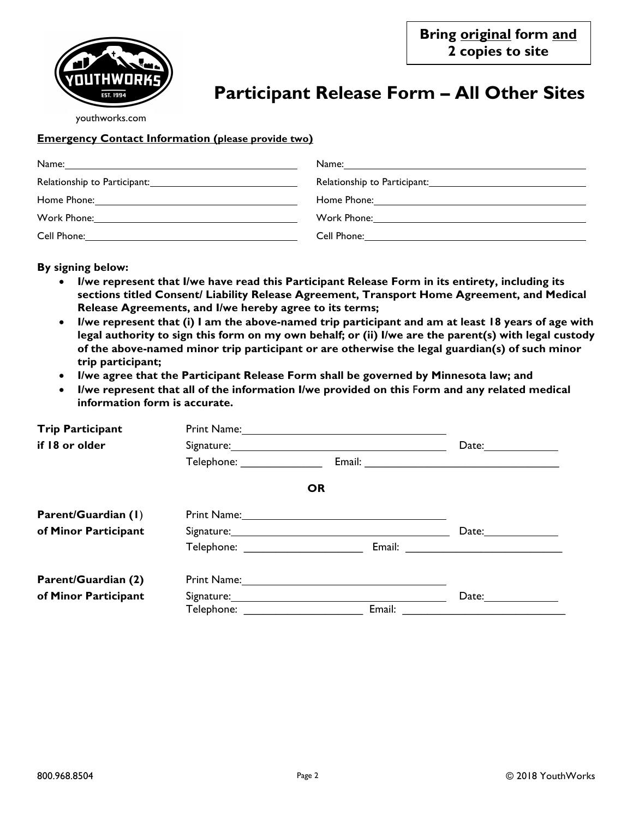

# **Participant Release Form – All Other Sites**

youthworks.com

### **Emergency Contact Information (please provide two)**

| Name:       | Name:            |
|-------------|------------------|
|             |                  |
| Home Phone: | Home Phone:      |
| Work Phone: | Work Phone: 2000 |
| Cell Phone: | Cell Phone:      |

#### **By signing below:**

- **I/we represent that I/we have read this Participant Release Form in its entirety, including its sections titled Consent/ Liability Release Agreement, Transport Home Agreement, and Medical Release Agreements, and I/we hereby agree to its terms;**
- **I/we represent that (i) I am the above-named trip participant and am at least 18 years of age with legal authority to sign this form on my own behalf; or (ii) I/we are the parent(s) with legal custody of the above-named minor trip participant or are otherwise the legal guardian(s) of such minor trip participant;**
- **I/we agree that the Participant Release Form shall be governed by Minnesota law; and**
- **I/we represent that all of the information I/we provided on this** F**orm and any related medical information form is accurate.**

| <b>Trip Participant</b> |                                                                                                                |                                                                                                                                                                                                                                |                                                                                                                 |
|-------------------------|----------------------------------------------------------------------------------------------------------------|--------------------------------------------------------------------------------------------------------------------------------------------------------------------------------------------------------------------------------|-----------------------------------------------------------------------------------------------------------------|
| if 18 or older          |                                                                                                                | Date:                                                                                                                                                                                                                          |                                                                                                                 |
|                         | Telephone: ________________                                                                                    |                                                                                                                                                                                                                                |                                                                                                                 |
|                         |                                                                                                                | <b>OR</b>                                                                                                                                                                                                                      |                                                                                                                 |
| Parent/Guardian (1)     |                                                                                                                | Print Name: 1988 and 1988 and 1988 and 1988 and 1988 and 1988 and 1988 and 1988 and 1988 and 1988 and 1988 and 1988 and 1988 and 1988 and 1988 and 1988 and 1988 and 1988 and 1988 and 1988 and 1988 and 1988 and 1988 and 198 |                                                                                                                 |
| of Minor Participant    |                                                                                                                |                                                                                                                                                                                                                                | Date:                                                                                                           |
|                         | Telephone: The contract of the contract of the contract of the contract of the contract of the contract of the |                                                                                                                                                                                                                                | Email: 2008. 2009. 2010. 2010. 2010. 2010. 2010. 2011. 2012. 2012. 2013. 2014. 2014. 2015. 2016. 2017. 2017. 20 |
| Parent/Guardian (2)     |                                                                                                                |                                                                                                                                                                                                                                |                                                                                                                 |
| of Minor Participant    |                                                                                                                |                                                                                                                                                                                                                                | Date:                                                                                                           |
|                         | <b>Telephone:</b> Telephone:                                                                                   | Email:                                                                                                                                                                                                                         |                                                                                                                 |